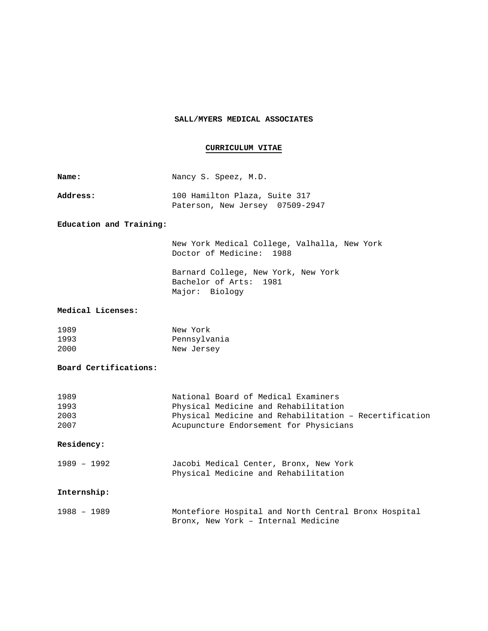## **SALL/MYERS MEDICAL ASSOCIATES**

## **CURRICULUM VITAE**

| Name:                        | Nancy S. Speez, M.D.                                                                                                                                                            |
|------------------------------|---------------------------------------------------------------------------------------------------------------------------------------------------------------------------------|
| Address:                     | 100 Hamilton Plaza, Suite 317<br>Paterson, New Jersey 07509-2947                                                                                                                |
| Education and Training:      |                                                                                                                                                                                 |
|                              | New York Medical College, Valhalla, New York<br>Doctor of Medicine: 1988                                                                                                        |
|                              | Barnard College, New York, New York<br>Bachelor of Arts: 1981<br>Major: Biology                                                                                                 |
| Medical Licenses:            |                                                                                                                                                                                 |
| 1989<br>1993<br>2000         | New York<br>Pennsylvania<br>New Jersey                                                                                                                                          |
| Board Certifications:        |                                                                                                                                                                                 |
| 1989<br>1993<br>2003<br>2007 | National Board of Medical Examiners<br>Physical Medicine and Rehabilitation<br>Physical Medicine and Rehabilitation - Recertification<br>Acupuncture Endorsement for Physicians |
| Residency:                   |                                                                                                                                                                                 |
| $1989 - 1992$                | Jacobi Medical Center, Bronx, New York<br>Physical Medicine and Rehabilitation                                                                                                  |
| Internship:                  |                                                                                                                                                                                 |
| $1988 - 1989$                | Montefiore Hospital and North Central Bronx Hospital<br>Bronx, New York - Internal Medicine                                                                                     |